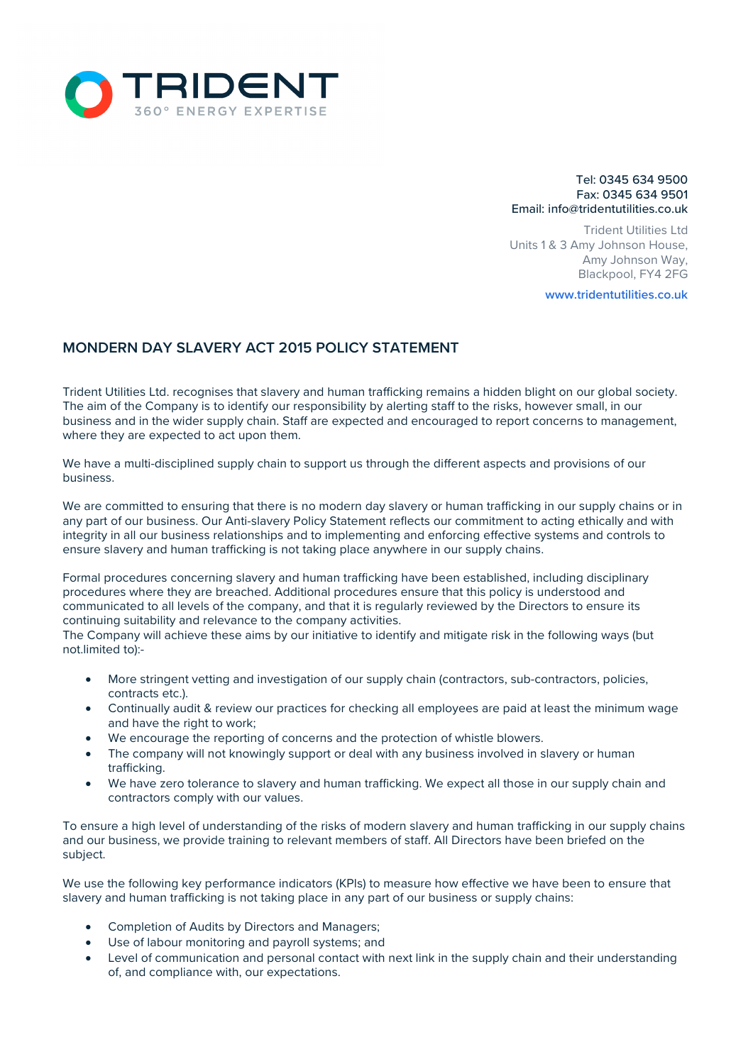

## Tel: 0345 634 9500 Fax: 0345 634 9501 Email: info@tridentutilities.co.uk

Trident Utilities Ltd Units 1 & 3 Amy Johnson House, Amy Johnson Way, Blackpool, FY4 2FG

**www.tridentutilities.co.uk**

## **MONDERN DAY SLAVERY ACT 2015 POLICY STATEMENT**

Trident Utilities Ltd. recognises that slavery and human trafficking remains a hidden blight on our global society. The aim of the Company is to identify our responsibility by alerting staff to the risks, however small, in our business and in the wider supply chain. Staff are expected and encouraged to report concerns to management, where they are expected to act upon them.

We have a multi-disciplined supply chain to support us through the different aspects and provisions of our business.

We are committed to ensuring that there is no modern day slavery or human trafficking in our supply chains or in any part of our business. Our Anti-slavery Policy Statement reflects our commitment to acting ethically and with integrity in all our business relationships and to implementing and enforcing effective systems and controls to ensure slavery and human trafficking is not taking place anywhere in our supply chains.

Formal procedures concerning slavery and human trafficking have been established, including disciplinary procedures where they are breached. Additional procedures ensure that this policy is understood and communicated to all levels of the company, and that it is regularly reviewed by the Directors to ensure its continuing suitability and relevance to the company activities.

The Company will achieve these aims by our initiative to identify and mitigate risk in the following ways (but not.limited to):-

- More stringent vetting and investigation of our supply chain (contractors, sub-contractors, policies, contracts etc.).
- Continually audit & review our practices for checking all employees are paid at least the minimum wage and have the right to work:
- We encourage the reporting of concerns and the protection of whistle blowers.
- The company will not knowingly support or deal with any business involved in slavery or human trafficking.
- We have zero tolerance to slavery and human trafficking. We expect all those in our supply chain and contractors comply with our values.

To ensure a high level of understanding of the risks of modern slavery and human trafficking in our supply chains and our business, we provide training to relevant members of staff. All Directors have been briefed on the subject.

We use the following key performance indicators (KPIs) to measure how effective we have been to ensure that slavery and human trafficking is not taking place in any part of our business or supply chains:

- Completion of Audits by Directors and Managers;
- Use of labour monitoring and payroll systems; and
- Level of communication and personal contact with next link in the supply chain and their understanding of, and compliance with, our expectations.